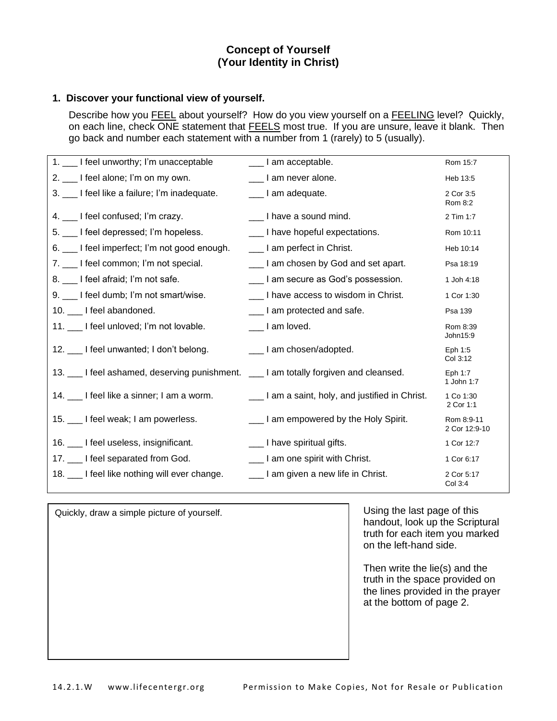# **Concept of Yourself (Your Identity in Christ)**

### **1. Discover your functional view of yourself.**

Describe how you **FEEL** about yourself? How do you view yourself on a FEELING level? Quickly, on each line, check ONE statement that FEELS most true. If you are unsure, leave it blank. Then go back and number each statement with a number from 1 (rarely) to 5 (usually).

| 1. ___ I feel unworthy; I'm unacceptable                                            | ____ I am acceptable.                       | Rom 15:7                    |
|-------------------------------------------------------------------------------------|---------------------------------------------|-----------------------------|
| 2. I feel alone; I'm on my own.                                                     | ___ I am never alone.                       | Heb 13:5                    |
| 3. __ I feel like a failure; I'm inadequate.                                        | __ I am adequate.                           | 2 Cor 3:5<br>Rom 8:2        |
| 4. I feel confused; I'm crazy.                                                      | ___ I have a sound mind.                    | 2 Tim 1:7                   |
| 5. ___ I feel depressed; I'm hopeless.                                              | ___ I have hopeful expectations.            | Rom 10:11                   |
| 6. ___ I feel imperfect; I'm not good enough.                                       | ____ I am perfect in Christ.                | Heb 10:14                   |
| 7. __ I feel common; I'm not special.                                               | ___ I am chosen by God and set apart.       | Psa 18:19                   |
| 8. 1 feel afraid; I'm not safe.                                                     | ___ I am secure as God's possession.        | 1 Joh 4:18                  |
| 9. __ I feel dumb; I'm not smart/wise.                                              | I have access to wisdom in Christ.          | 1 Cor 1:30                  |
| 10. I feel abandoned.                                                               | ___ I am protected and safe.                | Psa 139                     |
| 11. ___ I feel unloved; I'm not lovable.                                            | ___ I am loved.                             | Rom 8:39<br>John15:9        |
| 12. ___ I feel unwanted; I don't belong.                                            | ____ I am chosen/adopted.                   | Eph 1:5<br>Col 3:12         |
| 13. __ I feel ashamed, deserving punishment. __ I am totally forgiven and cleansed. |                                             | Eph 1:7<br>1 John 1:7       |
| 14. __ I feel like a sinner; I am a worm.                                           | Lam a saint, holy, and justified in Christ. | 1 Co 1:30<br>2 Cor 1:1      |
| 15. I feel weak; I am powerless.                                                    | __ I am empowered by the Holy Spirit.       | Rom 8:9-11<br>2 Cor 12:9-10 |
| 16. __ I feel useless, insignificant.                                               | ____ I have spiritual gifts.                | 1 Cor 12:7                  |
| 17. __ I feel separated from God.                                                   | __ I am one spirit with Christ.             | 1 Cor 6:17                  |
| 18. ___ I feel like nothing will ever change.                                       | ____ I am given a new life in Christ.       | 2 Cor 5:17<br>Col 3:4       |

Quickly, draw a simple picture of yourself.

Using the last page of this handout, look up the Scriptural truth for each item you marked on the left-hand side.

Then write the lie(s) and the truth in the space provided on the lines provided in the prayer at the bottom of page 2.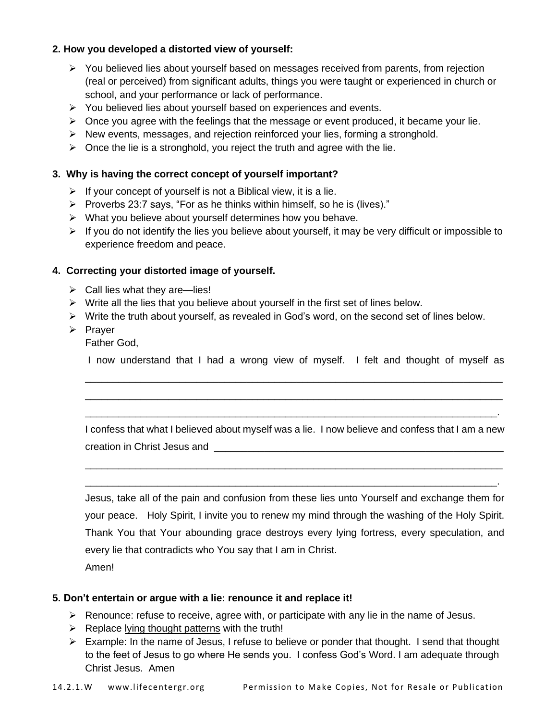# **2. How you developed a distorted view of yourself:**

- ➢ You believed lies about yourself based on messages received from parents, from rejection (real or perceived) from significant adults, things you were taught or experienced in church or school, and your performance or lack of performance.
- ➢ You believed lies about yourself based on experiences and events.
- $\triangleright$  Once you agree with the feelings that the message or event produced, it became your lie.
- ➢ New events, messages, and rejection reinforced your lies, forming a stronghold.
- $\triangleright$  Once the lie is a stronghold, you reject the truth and agree with the lie.

#### **3. Why is having the correct concept of yourself important?**

- $\triangleright$  If your concept of yourself is not a Biblical view, it is a lie.
- ➢ Proverbs 23:7 says, "For as he thinks within himself, so he is (lives)."
- ➢ What you believe about yourself determines how you behave.
- $\triangleright$  If you do not identify the lies you believe about yourself, it may be very difficult or impossible to experience freedom and peace.

### **4. Correcting your distorted image of yourself.**

- $\triangleright$  Call lies what they are—lies!
- $\triangleright$  Write all the lies that you believe about yourself in the first set of lines below.
- ➢ Write the truth about yourself, as revealed in God's word, on the second set of lines below.
- ➢ Prayer

Father God,

I now understand that I had a wrong view of myself. I felt and thought of myself as \_\_\_\_\_\_\_\_\_\_\_\_\_\_\_\_\_\_\_\_\_\_\_\_\_\_\_\_\_\_\_\_\_\_\_\_\_\_\_\_\_\_\_\_\_\_\_\_\_\_\_\_\_\_\_\_\_\_\_\_\_\_\_\_\_\_\_\_\_\_\_\_\_\_\_

\_\_\_\_\_\_\_\_\_\_\_\_\_\_\_\_\_\_\_\_\_\_\_\_\_\_\_\_\_\_\_\_\_\_\_\_\_\_\_\_\_\_\_\_\_\_\_\_\_\_\_\_\_\_\_\_\_\_\_\_\_\_\_\_\_\_\_\_\_\_\_\_\_\_\_ \_\_\_\_\_\_\_\_\_\_\_\_\_\_\_\_\_\_\_\_\_\_\_\_\_\_\_\_\_\_\_\_\_\_\_\_\_\_\_\_\_\_\_\_\_\_\_\_\_\_\_\_\_\_\_\_\_\_\_\_\_\_\_\_\_\_\_\_\_\_\_\_\_\_.

I confess that what I believed about myself was a lie. I now believe and confess that I am a new creation in Christ Jesus and **Example 20** and  $\overline{a}$ 

\_\_\_\_\_\_\_\_\_\_\_\_\_\_\_\_\_\_\_\_\_\_\_\_\_\_\_\_\_\_\_\_\_\_\_\_\_\_\_\_\_\_\_\_\_\_\_\_\_\_\_\_\_\_\_\_\_\_\_\_\_\_\_\_\_\_\_\_\_\_\_\_\_\_\_ \_\_\_\_\_\_\_\_\_\_\_\_\_\_\_\_\_\_\_\_\_\_\_\_\_\_\_\_\_\_\_\_\_\_\_\_\_\_\_\_\_\_\_\_\_\_\_\_\_\_\_\_\_\_\_\_\_\_\_\_\_\_\_\_\_\_\_\_\_\_\_\_\_\_.

Jesus, take all of the pain and confusion from these lies unto Yourself and exchange them for your peace. Holy Spirit, I invite you to renew my mind through the washing of the Holy Spirit. Thank You that Your abounding grace destroys every lying fortress, every speculation, and every lie that contradicts who You say that I am in Christ. Amen!

#### **5. Don't entertain or argue with a lie: renounce it and replace it!**

- ➢ Renounce: refuse to receive, agree with, or participate with any lie in the name of Jesus.
- $\triangleright$  Replace lying thought patterns with the truth!
- ➢ Example: In the name of Jesus, I refuse to believe or ponder that thought. I send that thought to the feet of Jesus to go where He sends you. I confess God's Word. I am adequate through Christ Jesus. Amen